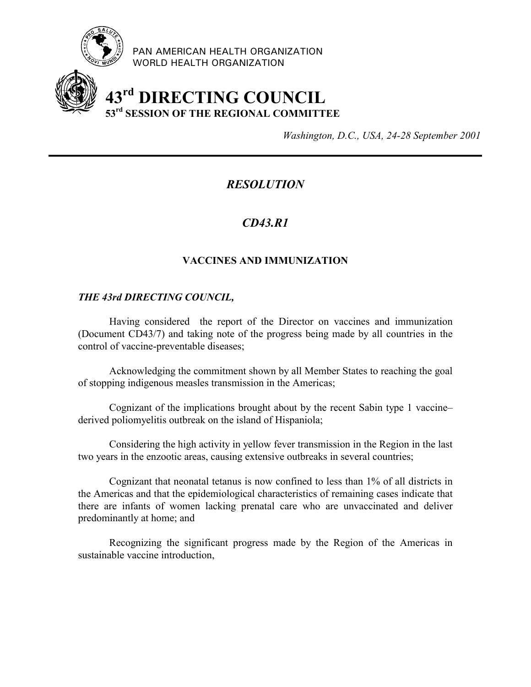

PAN AMERICAN HEALTH ORGANIZATION WORLD HEALTH ORGANIZATION

# **43rd DIRECTING COUNCIL 53rd SESSION OF THE REGIONAL COMMITTEE**

*Washington, D.C., USA, 24-28 September 2001*

# *RESOLUTION*

# *CD43.R1*

## **VACCINES AND IMMUNIZATION**

### *THE 43rd DIRECTING COUNCIL,*

Having considered the report of the Director on vaccines and immunization (Document CD43/7) and taking note of the progress being made by all countries in the control of vaccine-preventable diseases;

Acknowledging the commitment shown by all Member States to reaching the goal of stopping indigenous measles transmission in the Americas;

Cognizant of the implications brought about by the recent Sabin type 1 vaccine– derived poliomyelitis outbreak on the island of Hispaniola;

Considering the high activity in yellow fever transmission in the Region in the last two years in the enzootic areas, causing extensive outbreaks in several countries;

Cognizant that neonatal tetanus is now confined to less than 1% of all districts in the Americas and that the epidemiological characteristics of remaining cases indicate that there are infants of women lacking prenatal care who are unvaccinated and deliver predominantly at home; and

Recognizing the significant progress made by the Region of the Americas in sustainable vaccine introduction,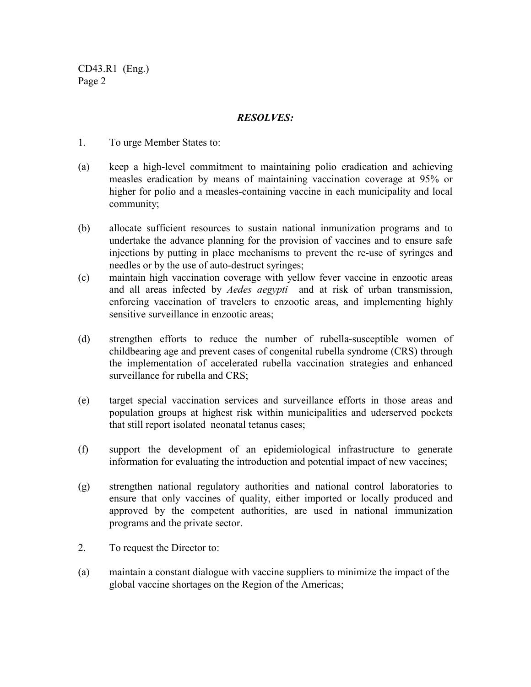CD43.R1 (Eng.) Page 2

### *RESOLVES:*

- 1. To urge Member States to:
- (a) keep a high-level commitment to maintaining polio eradication and achieving measles eradication by means of maintaining vaccination coverage at 95% or higher for polio and a measles-containing vaccine in each municipality and local community;
- (b) allocate sufficient resources to sustain national inmunization programs and to undertake the advance planning for the provision of vaccines and to ensure safe injections by putting in place mechanisms to prevent the re-use of syringes and needles or by the use of auto-destruct syringes;
- (c) maintain high vaccination coverage with yellow fever vaccine in enzootic areas and all areas infected by *Aedes aegypti* and at risk of urban transmission, enforcing vaccination of travelers to enzootic areas, and implementing highly sensitive surveillance in enzootic areas;
- (d) strengthen efforts to reduce the number of rubella-susceptible women of childbearing age and prevent cases of congenital rubella syndrome (CRS) through the implementation of accelerated rubella vaccination strategies and enhanced surveillance for rubella and CRS;
- (e) target special vaccination services and surveillance efforts in those areas and population groups at highest risk within municipalities and uderserved pockets that still report isolated neonatal tetanus cases;
- (f) support the development of an epidemiological infrastructure to generate information for evaluating the introduction and potential impact of new vaccines;
- (g) strengthen national regulatory authorities and national control laboratories to ensure that only vaccines of quality, either imported or locally produced and approved by the competent authorities, are used in national immunization programs and the private sector.
- 2. To request the Director to:
- (a) maintain a constant dialogue with vaccine suppliers to minimize the impact of the global vaccine shortages on the Region of the Americas;